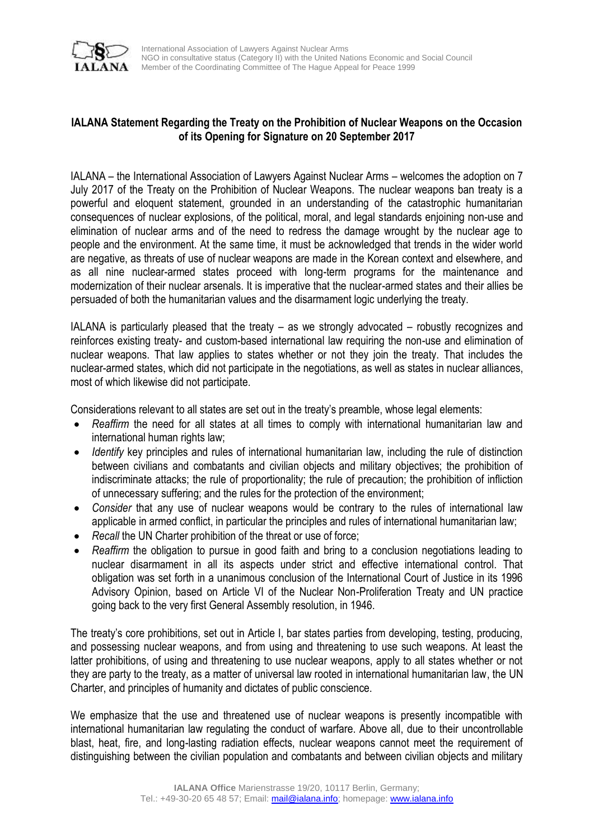

## **IALANA Statement Regarding the Treaty on the Prohibition of Nuclear Weapons on the Occasion of its Opening for Signature on 20 September 2017**

IALANA – the International Association of Lawyers Against Nuclear Arms – welcomes the adoption on 7 July 2017 of the Treaty on the Prohibition of Nuclear Weapons. The nuclear weapons ban treaty is a powerful and eloquent statement, grounded in an understanding of the catastrophic humanitarian consequences of nuclear explosions, of the political, moral, and legal standards enjoining non-use and elimination of nuclear arms and of the need to redress the damage wrought by the nuclear age to people and the environment. At the same time, it must be acknowledged that trends in the wider world are negative, as threats of use of nuclear weapons are made in the Korean context and elsewhere, and as all nine nuclear-armed states proceed with long-term programs for the maintenance and modernization of their nuclear arsenals. It is imperative that the nuclear-armed states and their allies be persuaded of both the humanitarian values and the disarmament logic underlying the treaty.

IALANA is particularly pleased that the treaty – as we strongly advocated – robustly recognizes and reinforces existing treaty- and custom-based international law requiring the non-use and elimination of nuclear weapons. That law applies to states whether or not they join the treaty. That includes the nuclear-armed states, which did not participate in the negotiations, as well as states in nuclear alliances, most of which likewise did not participate.

Considerations relevant to all states are set out in the treaty's preamble, whose legal elements:

- *Reaffirm* the need for all states at all times to comply with international humanitarian law and international human rights law;
- *Identify* key principles and rules of international humanitarian law, including the rule of distinction between civilians and combatants and civilian objects and military objectives; the prohibition of indiscriminate attacks; the rule of proportionality; the rule of precaution; the prohibition of infliction of unnecessary suffering; and the rules for the protection of the environment;
- *Consider* that any use of nuclear weapons would be contrary to the rules of international law applicable in armed conflict, in particular the principles and rules of international humanitarian law;
- Recall the UN Charter prohibition of the threat or use of force;
- *Reaffirm* the obligation to pursue in good faith and bring to a conclusion negotiations leading to nuclear disarmament in all its aspects under strict and effective international control. That obligation was set forth in a unanimous conclusion of the International Court of Justice in its 1996 Advisory Opinion, based on Article VI of the Nuclear Non-Proliferation Treaty and UN practice going back to the very first General Assembly resolution, in 1946.

The treaty's core prohibitions, set out in Article I, bar states parties from developing, testing, producing, and possessing nuclear weapons, and from using and threatening to use such weapons. At least the latter prohibitions, of using and threatening to use nuclear weapons, apply to all states whether or not they are party to the treaty, as a matter of universal law rooted in international humanitarian law, the UN Charter, and principles of humanity and dictates of public conscience.

We emphasize that the use and threatened use of nuclear weapons is presently incompatible with international humanitarian law regulating the conduct of warfare. Above all, due to their uncontrollable blast, heat, fire, and long-lasting radiation effects, nuclear weapons cannot meet the requirement of distinguishing between the civilian population and combatants and between civilian objects and military